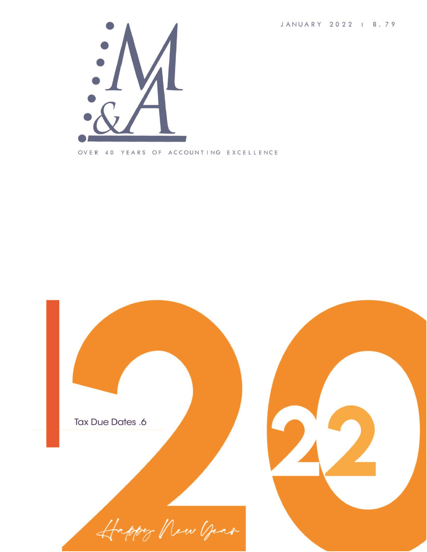JANUARY 2022 | 8.79



OVER 40 YEARS OF ACCOUNTING EXCELLENCE

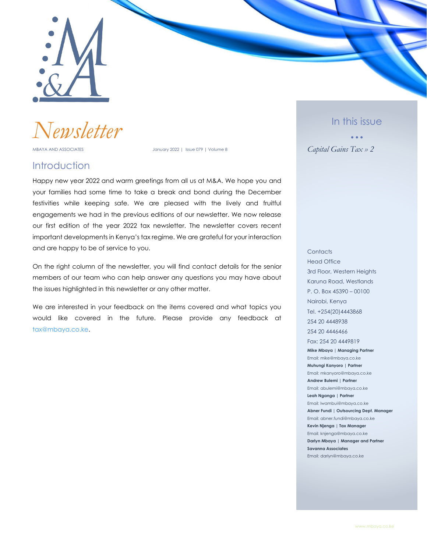

*Newsletter*

MBAYA AND ASSOCIATES **And Accept and Accept and Accept and Accept** January 2022 | Issue 079 | Volume 8

#### **Introduction**

Happy new year 2022 and warm greetings from all us at M&A. We hope you and your families had some time to take a break and bond during the December festivities while keeping safe. We are pleased with the lively and fruitful engagements we had in the previous editions of our newsletter. We now release our first edition of the year 2022 tax newsletter. The newsletter covers recent important developments in Kenya's tax regime. We are grateful for your interaction and are happy to be of service to you.

On the right column of the newsletter, you will find contact details for the senior members of our team who can help answer any questions you may have about the issues highlighted in this newsletter or any other matter.

We are interested in your feedback on the items covered and what topics you would like covered in the future. Please provide any feedback at [tax@mbaya.co.ke.](tax@mbaya.co.ke)

In this issue

• • • *Capital Gains Tax » 2*

**Contacts** 

Head Office 3rd Floor, Western Heights Karuna Road, Westlands P. O. Box 45390 – 00100 Nairobi, Kenya Tel. +254(20)4443868 254 20 4448938 254 20 4446466 Fax: 254 20 4449819 **Mike Mbaya | Managing Partner** Email: mike@mbaya.co.ke **Muhungi Kanyoro | Partner** Email: mkanyoro@mbaya.co.ke **Andrew Bulemi | Partner** Email: abulemi@mbaya.co.ke **Leah Nganga | Partner** Email: lwambui@mbaya.co.ke **Abner Fundi | Outsourcing Dept. Manager** Email: abner.fundi@mbaya.co.ke **Kevin Njenga | Tax Manager** Email: knjenga@mbaya.co.ke **Darlyn Mbaya | Manager and Partner Savanna Associates** Email: darlyn@mbaya.co.ke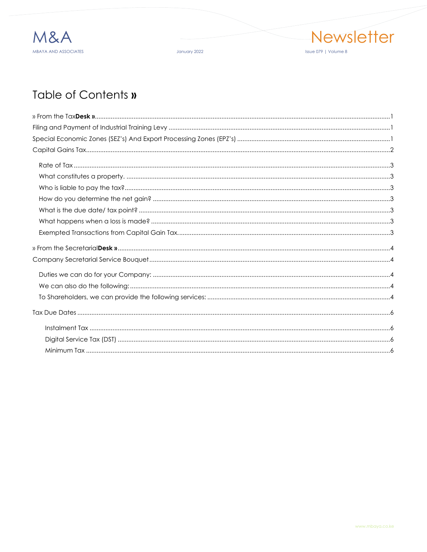

January 2022



# Table of Contents »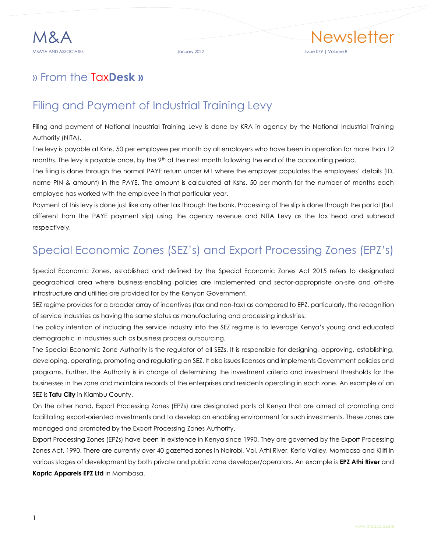<span id="page-3-0"></span>

## <span id="page-3-1"></span>Filing and Payment of Industrial Training Levy

Filing and payment of National Industrial Training Levy is done by KRA in agency by the National Industrial Training Authority (NITA).

The levy is payable at Kshs. 50 per employee per month by all employers who have been in operation for more than 12 months. The levy is payable once, by the 9<sup>th</sup> of the next month following the end of the accounting period.

The filing is done through the normal PAYE return under M1 where the employer populates the employees' details (ID, name PIN & amount) in the PAYE. The amount is calculated at Kshs. 50 per month for the number of months each employee has worked with the employee in that particular year.

Payment of this levy is done just like any other tax through the bank. Processing of the slip is done through the portal (but different from the PAYE payment slip) using the agency revenue and NITA Levy as the tax head and subhead respectively.

# <span id="page-3-2"></span>Special Economic Zones (SEZ's) and Export Processing Zones (EPZ's)

Special Economic Zones, established and defined by the Special Economic Zones Act 2015 refers to designated geographical area where business-enabling policies are implemented and sector-appropriate on-site and off-site infrastructure and utilities are provided for by the Kenyan Government.

SEZ regime provides for a broader array of incentives (tax and non-tax) as compared to EPZ, particularly, the recognition of service industries as having the same status as manufacturing and processing industries.

The policy intention of including the service industry into the SEZ regime is to leverage Kenya's young and educated demographic in industries such as business process outsourcing.

The Special Economic Zone Authority is the regulator of all SEZs. It is responsible for designing, approving, establishing, developing, operating, promoting and regulating an SEZ. It also issues licenses and implements Government policies and programs. Further, the Authority is in charge of determining the investment criteria and investment thresholds for the businesses in the zone and maintains records of the enterprises and residents operating in each zone. An example of an SEZ is **Tatu City** in Kiambu County.

On the other hand, Export Processing Zones (EPZs) are designated parts of Kenya that are aimed at promoting and facilitating export-oriented investments and to develop an enabling environment for such investments. These zones are managed and promoted by the Export Processing Zones Authority.

Export Processing Zones (EPZs) have been in existence in Kenya since 1990. They are governed by the Export Processing Zones Act, 1990. There are currently over 40 gazetted zones in Nairobi, Voi, Athi River, Kerio Valley, Mombasa and Kilifi in various stages of development by both private and public zone developer/operators. An example is **EPZ Athi River** and **Kapric Apparels EPZ Ltd** in Mombasa.

Newsletter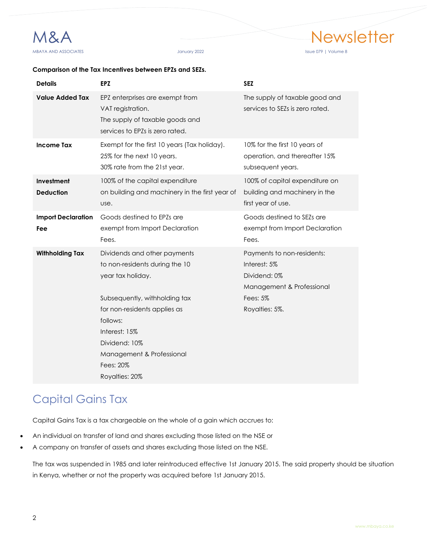

#### **Comparison of the Tax Incentives between EPZs and SEZs.**

| <b>Details</b>                   | <b>EPZ</b>                                                                                                                                                                                                                                                     | <b>SEZ</b>                                                                                                            |
|----------------------------------|----------------------------------------------------------------------------------------------------------------------------------------------------------------------------------------------------------------------------------------------------------------|-----------------------------------------------------------------------------------------------------------------------|
| <b>Value Added Tax</b>           | EPZ enterprises are exempt from<br>VAT registration.<br>The supply of taxable goods and<br>services to EPZs is zero rated.                                                                                                                                     | The supply of taxable good and<br>services to SEZs is zero rated.                                                     |
| <b>Income Tax</b>                | Exempt for the first 10 years (Tax holiday).<br>25% for the next 10 years.<br>30% rate from the 21st year.                                                                                                                                                     | 10% for the first 10 years of<br>operation, and thereafter 15%<br>subsequent years.                                   |
| Investment<br><b>Deduction</b>   | 100% of the capital expenditure<br>on building and machinery in the first year of<br>use.                                                                                                                                                                      | 100% of capital expenditure on<br>building and machinery in the<br>first year of use.                                 |
| <b>Import Declaration</b><br>Fee | Goods destined to EPZs are<br>exempt from Import Declaration<br>Fees.                                                                                                                                                                                          | Goods destined to SEZs are<br>exempt from Import Declaration<br>Fees.                                                 |
| <b>Withholding Tax</b>           | Dividends and other payments<br>to non-residents during the 10<br>year tax holiday.<br>Subsequently, withholding tax<br>for non-residents applies as<br>follows:<br>Interest: 15%<br>Dividend: 10%<br>Management & Professional<br>Fees: 20%<br>Royalties: 20% | Payments to non-residents:<br>Interest: 5%<br>Dividend: 0%<br>Management & Professional<br>Fees: 5%<br>Royalties: 5%. |

## <span id="page-4-0"></span>Capital Gains Tax

Capital Gains Tax is a tax chargeable on the whole of a gain which accrues to:

- An individual on transfer of land and shares excluding those listed on the NSE or
- A company on transfer of assets and shares excluding those listed on the NSE.

The tax was suspended in 1985 and later reintroduced effective 1st January 2015. The said property should be situation in Kenya, whether or not the property was acquired before 1st January 2015.

Newsletter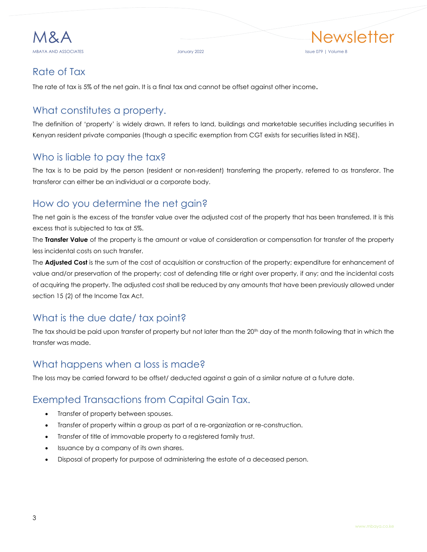

### <span id="page-5-0"></span>Rate of Tax

The rate of tax is 5% of the net gain. It is a final tax and cannot be offset against other income.

### <span id="page-5-1"></span>What constitutes a property.

The definition of 'property' is widely drawn. It refers to land, buildings and marketable securities including securities in Kenyan resident private companies (though a specific exemption from CGT exists for securities listed in NSE).

#### <span id="page-5-2"></span>Who is liable to pay the tax?

The tax is to be paid by the person (resident or non-resident) transferring the property, referred to as transferor. The transferor can either be an individual or a corporate body.

### <span id="page-5-3"></span>How do you determine the net gain?

The net gain is the excess of the transfer value over the adjusted cost of the property that has been transferred. It is this excess that is subjected to tax at 5%.

The **Transfer Value** of the property is the amount or value of consideration or compensation for transfer of the property less incidental costs on such transfer.

The **Adjusted Cost** is the sum of the cost of acquisition or construction of the property; expenditure for enhancement of value and/or preservation of the property; cost of defending title or right over property, if any; and the incidental costs of acquiring the property. The adjusted cost shall be reduced by any amounts that have been previously allowed under section 15 (2) of the Income Tax Act.

### <span id="page-5-4"></span>What is the due date/ tax point?

The tax should be paid upon transfer of property but not later than the 20<sup>th</sup> day of the month following that in which the transfer was made.

#### <span id="page-5-5"></span>What happens when a loss is made?

The loss may be carried forward to be offset/ deducted against a gain of a similar nature at a future date.

### <span id="page-5-6"></span>Exempted Transactions from Capital Gain Tax.

- Transfer of property between spouses.
- Transfer of property within a group as part of a re-organization or re-construction.
- Transfer of title of immovable property to a registered family trust.
- Issuance by a company of its own shares.
- Disposal of property for purpose of administering the estate of a deceased person.

Newsletter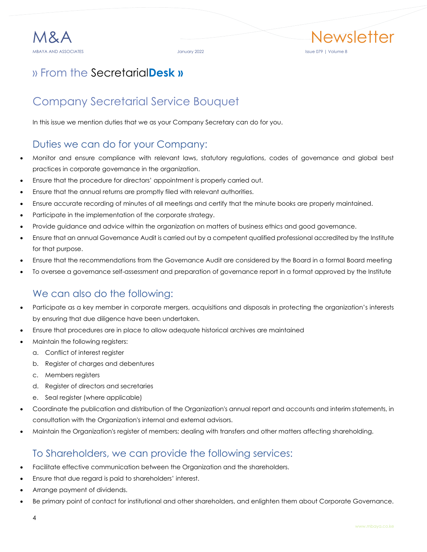Newsletter

## <span id="page-6-0"></span>» From the Secretarial**Desk »**

## <span id="page-6-1"></span>Company Secretarial Service Bouquet

In this issue we mention duties that we as your Company Secretary can do for you.

#### <span id="page-6-2"></span>Duties we can do for your Company:

- Monitor and ensure compliance with relevant laws, statutory regulations, codes of governance and global best practices in corporate governance in the organization.
- Ensure that the procedure for directors' appointment is properly carried out.
- Ensure that the annual returns are promptly filed with relevant authorities.
- Ensure accurate recording of minutes of all meetings and certify that the minute books are properly maintained.
- Participate in the implementation of the corporate strategy.
- Provide guidance and advice within the organization on matters of business ethics and good governance.
- Ensure that an annual Governance Audit is carried out by a competent qualified professional accredited by the Institute for that purpose.
- Ensure that the recommendations from the Governance Audit are considered by the Board in a formal Board meeting
- To oversee a governance self-assessment and preparation of governance report in a format approved by the Institute

#### <span id="page-6-3"></span>We can also do the following:

- Participate as a key member in corporate mergers, acquisitions and disposals in protecting the organization's interests by ensuring that due diligence have been undertaken.
- Ensure that procedures are in place to allow adequate historical archives are maintained
- Maintain the following registers:
	- a. Conflict of interest register
	- b. Register of charges and debentures
	- c. Members registers
	- d. Register of directors and secretaries
	- e. Seal register (where applicable)
- Coordinate the publication and distribution of the Organization's annual report and accounts and interim statements, in consultation with the Organization's internal and external advisors.
- Maintain the Organization's register of members; dealing with transfers and other matters affecting shareholding.

#### <span id="page-6-4"></span>To Shareholders, we can provide the following services:

- Facilitate effective communication between the Organization and the shareholders.
- Ensure that due regard is paid to shareholders' interest.
- Arrange payment of dividends.
- Be primary point of contact for institutional and other shareholders, and enlighten them about Corporate Governance.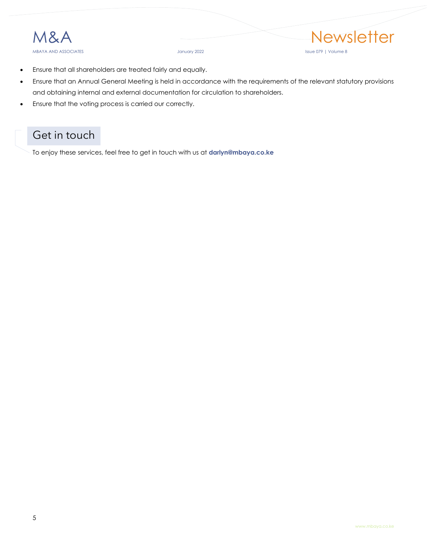

- Ensure that all shareholders are treated fairly and equally.
- Ensure that an Annual General Meeting is held in accordance with the requirements of the relevant statutory provisions and obtaining internal and external documentation for circulation to shareholders.
- Ensure that the voting process is carried our correctly.

### Get in touch

To enjoy these services, feel free to get in touch with us at **darlyn@mbaya.co.ke**